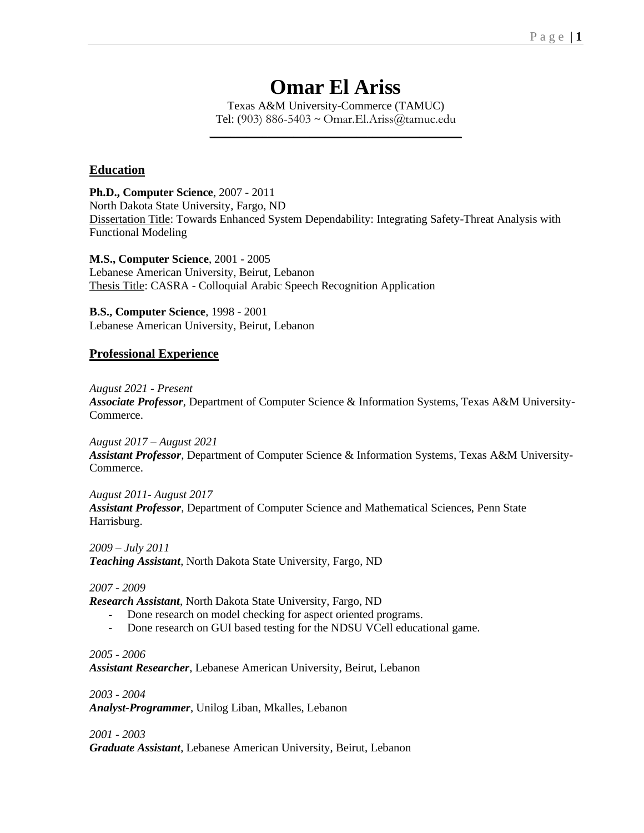# **Omar El Ariss**

Texas A&M University-Commerce (TAMUC) Tel: (903) 886-5403  $\sim$  Omar.El.Ariss@tamuc.edu **\_\_\_\_\_\_\_\_\_\_\_\_\_\_\_\_\_\_\_\_\_\_\_\_\_\_\_\_\_\_\_\_\_\_\_\_\_\_\_\_\_\_\_\_\_\_\_\_**

## **Education**

**Ph.D., Computer Science**, 2007 - 2011 North Dakota State University, Fargo, ND Dissertation Title: Towards Enhanced System Dependability: Integrating Safety-Threat Analysis with Functional Modeling

**M.S., Computer Science**, 2001 - 2005 Lebanese American University, Beirut, Lebanon Thesis Title: CASRA - Colloquial Arabic Speech Recognition Application

**B.S., Computer Science**, 1998 - 2001 Lebanese American University, Beirut, Lebanon

## **Professional Experience**

*August 2021 - Present*

*Associate Professor*, Department of Computer Science & Information Systems, Texas A&M University-Commerce.

*August 2017 – August 2021 Assistant Professor*, Department of Computer Science & Information Systems, Texas A&M University-Commerce.

#### *August 2011- August 2017*

*Assistant Professor*, Department of Computer Science and Mathematical Sciences, Penn State Harrisburg.

*2009 – July 2011 Teaching Assistant*, North Dakota State University, Fargo, ND

*2007 - 2009*

*Research Assistant*, North Dakota State University, Fargo, ND

- **-** Done research on model checking for aspect oriented programs.
- **-** Done research on GUI based testing for the NDSU VCell educational game.

*2005 - 2006 Assistant Researcher*, Lebanese American University, Beirut, Lebanon

*2003 - 2004 Analyst-Programmer*, Unilog Liban, Mkalles, Lebanon

*2001 - 2003*

*Graduate Assistant*, Lebanese American University, Beirut, Lebanon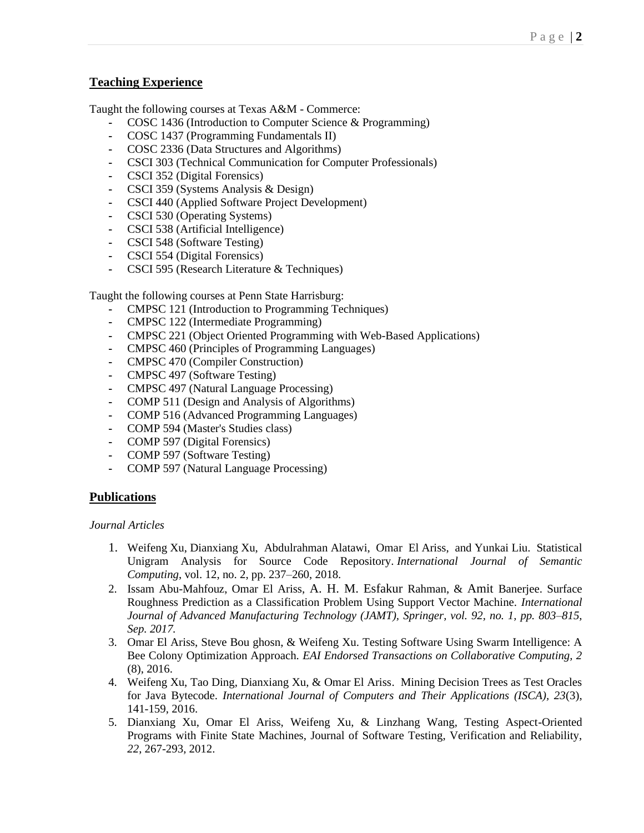## **Teaching Experience**

Taught the following courses at Texas A&M - Commerce:

- **-** COSC 1436 (Introduction to Computer Science & Programming)
- **-** COSC 1437 (Programming Fundamentals II)
- **-** COSC 2336 (Data Structures and Algorithms)
- **-** CSCI 303 (Technical Communication for Computer Professionals)
- **-** CSCI 352 (Digital Forensics)
- **-** CSCI 359 (Systems Analysis & Design)
- **-** CSCI 440 (Applied Software Project Development)
- **-** CSCI 530 (Operating Systems)
- **-** CSCI 538 (Artificial Intelligence)
- **-** CSCI 548 (Software Testing)
- **-** CSCI 554 (Digital Forensics)
- **-** CSCI 595 (Research Literature & Techniques)

Taught the following courses at Penn State Harrisburg:

- **-** CMPSC 121 (Introduction to Programming Techniques)
- **-** CMPSC 122 (Intermediate Programming)
- **-** CMPSC 221 (Object Oriented Programming with Web-Based Applications)
- **-** CMPSC 460 (Principles of Programming Languages)
- **-** CMPSC 470 (Compiler Construction)
- **-** CMPSC 497 (Software Testing)
- **-** CMPSC 497 (Natural Language Processing)
- **-** COMP 511 (Design and Analysis of Algorithms)
- **-** COMP 516 (Advanced Programming Languages)
- **-** COMP 594 (Master's Studies class)
- **-** COMP 597 (Digital Forensics)
- **-** COMP 597 (Software Testing)
- **-** COMP 597 (Natural Language Processing)

## **Publications**

#### *Journal Articles*

- 1. Weifeng Xu, Dianxiang Xu, Abdulrahman Alatawi, Omar El Ariss, and Yunkai Liu. Statistical Unigram Analysis for Source Code Repository. *International Journal of Semantic Computing*, vol. 12, no. 2, pp. 237–260, 2018.
- 2. Issam Abu-Mahfouz, Omar El Ariss, A. H. M. Esfakur Rahman, & Amit Banerjee. Surface Roughness Prediction as a Classification Problem Using Support Vector Machine. *International Journal of Advanced Manufacturing Technology (JAMT), Springer, vol. 92, no. 1, pp. 803–815, Sep. 2017.*
- 3. Omar El Ariss, Steve Bou ghosn, & Weifeng Xu. Testing Software Using Swarm Intelligence: A Bee Colony Optimization Approach. *EAI Endorsed Transactions on Collaborative Computing, 2*  (8), 2016.
- 4. Weifeng Xu, Tao Ding, Dianxiang Xu, & Omar El Ariss. Mining Decision Trees as Test Oracles for Java Bytecode. *International Journal of Computers and Their Applications (ISCA), 23*(3), 141-159, 2016.
- 5. Dianxiang Xu, Omar El Ariss, Weifeng Xu, & Linzhang Wang, Testing Aspect-Oriented Programs with Finite State Machines, Journal of Software Testing, Verification and Reliability, *22*, 267-293, 2012.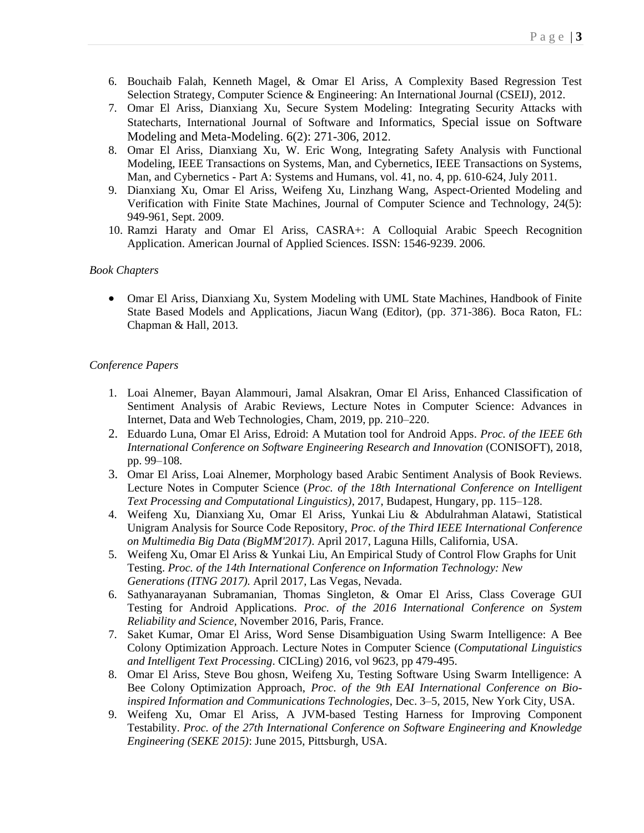- 6. Bouchaib Falah, Kenneth Magel, & Omar El Ariss, A Complexity Based Regression Test Selection Strategy, Computer Science & Engineering: An International Journal (CSEIJ), 2012.
- 7. Omar El Ariss, Dianxiang Xu, Secure System Modeling: Integrating Security Attacks with Statecharts, International Journal of Software and Informatics, Special issue on Software Modeling and Meta-Modeling. 6(2): 271-306, 2012.
- 8. Omar El Ariss, Dianxiang Xu, W. Eric Wong, Integrating Safety Analysis with Functional Modeling, IEEE Transactions on Systems, Man, and Cybernetics, IEEE Transactions on Systems, Man, and Cybernetics - Part A: Systems and Humans, vol. 41, no. 4, pp. 610-624, July 2011.
- 9. Dianxiang Xu, Omar El Ariss, Weifeng Xu, Linzhang Wang, Aspect-Oriented Modeling and Verification with Finite State Machines, Journal of Computer Science and Technology, 24(5): 949-961, Sept. 2009.
- 10. Ramzi Haraty and Omar El Ariss, CASRA+: A Colloquial Arabic Speech Recognition Application. American Journal of Applied Sciences. ISSN: 1546-9239. 2006.

#### *Book Chapters*

• Omar El Ariss, Dianxiang Xu, System Modeling with UML State Machines, Handbook of Finite State Based Models and Applications, Jiacun Wang (Editor), (pp. 371-386). Boca Raton, FL: Chapman & Hall, 2013.

### *Conference Papers*

- 1. Loai Alnemer, Bayan Alammouri, Jamal Alsakran, Omar El Ariss, Enhanced Classification of Sentiment Analysis of Arabic Reviews, Lecture Notes in Computer Science: Advances in Internet, Data and Web Technologies, Cham, 2019, pp. 210–220.
- 2. Eduardo Luna, Omar El Ariss, Edroid: A Mutation tool for Android Apps. *Proc. of the IEEE 6th International Conference on Software Engineering Research and Innovation* (CONISOFT), 2018, pp. 99–108.
- 3. Omar El Ariss, Loai Alnemer, Morphology based Arabic Sentiment Analysis of Book Reviews. Lecture Notes in Computer Science (*Proc. of the 18th International Conference on Intelligent Text Processing and Computational Linguistics)*, 2017, Budapest, Hungary, pp. 115–128.
- 4. Weifeng Xu, Dianxiang Xu, Omar El Ariss, Yunkai Liu & Abdulrahman Alatawi, Statistical Unigram Analysis for Source Code Repository, *Proc. of the Third IEEE International Conference on Multimedia Big Data (BigMM'2017)*. April 2017, Laguna Hills, California, USA.
- 5. Weifeng Xu, Omar El Ariss & Yunkai Liu, An Empirical Study of Control Flow Graphs for Unit Testing. *Proc. of the 14th International Conference on Information Technology: New Generations (ITNG 2017).* April 2017, Las Vegas, Nevada.
- 6. Sathyanarayanan Subramanian, Thomas Singleton, & Omar El Ariss, Class Coverage GUI Testing for Android Applications. *Proc. of the 2016 International Conference on System Reliability and Science,* November 2016, Paris, France.
- 7. Saket Kumar, Omar El Ariss, Word Sense Disambiguation Using Swarm Intelligence: A Bee Colony Optimization Approach. Lecture Notes in Computer Science (*Computational Linguistics and Intelligent Text Processing*. CICLing) 2016, vol 9623, pp 479-495.
- 8. Omar El Ariss, Steve Bou ghosn, Weifeng Xu, Testing Software Using Swarm Intelligence: A Bee Colony Optimization Approach, *Proc. of the 9th EAI International Conference on Bioinspired Information and Communications Technologies*, Dec. 3–5, 2015, New York City, USA.
- 9. Weifeng Xu, Omar El Ariss, A JVM-based Testing Harness for Improving Component Testability. *Proc. of the 27th International Conference on Software Engineering and Knowledge Engineering (SEKE 2015)*: June 2015, Pittsburgh, USA.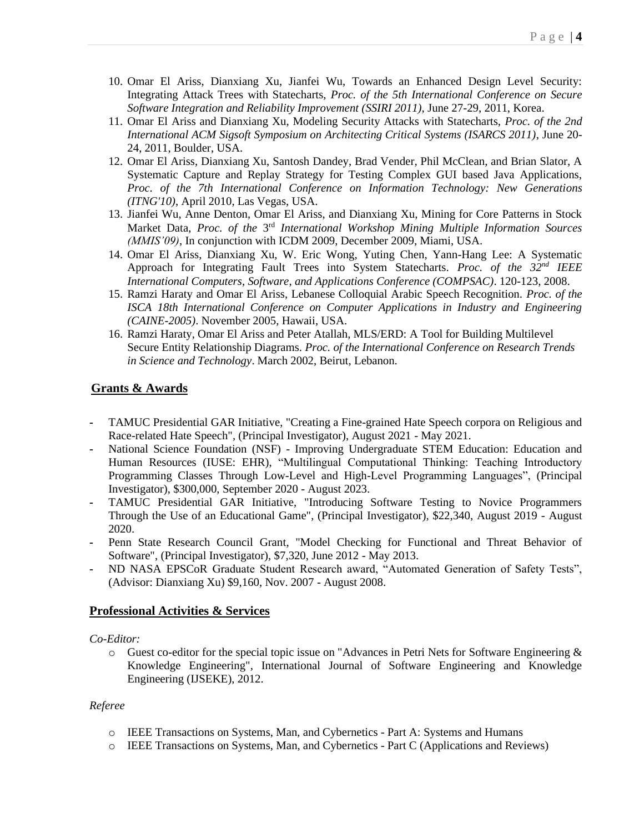- 10. Omar El Ariss, Dianxiang Xu, Jianfei Wu, Towards an Enhanced Design Level Security: Integrating Attack Trees with Statecharts, *Proc. of the 5th International Conference on Secure Software Integration and Reliability Improvement (SSIRI 2011)*, June 27-29, 2011, Korea.
- 11. Omar El Ariss and Dianxiang Xu, Modeling Security Attacks with Statecharts, *Proc. of the 2nd International ACM Sigsoft Symposium on Architecting Critical Systems (ISARCS 2011)*, June 20- 24, 2011, Boulder, USA.
- 12. Omar El Ariss, Dianxiang Xu, Santosh Dandey, Brad Vender, Phil McClean, and Brian Slator, A Systematic Capture and Replay Strategy for Testing Complex GUI based Java Applications, *Proc. of the 7th International Conference on Information Technology: New Generations (ITNG'10)*, April 2010, Las Vegas, USA.
- 13. Jianfei Wu, Anne Denton, Omar El Ariss, and Dianxiang Xu, Mining for Core Patterns in Stock Market Data, Proc. of the 3<sup>rd</sup> International Workshop Mining Multiple Information Sources *(MMIS'09)*, In conjunction with ICDM 2009, December 2009, Miami, USA.
- 14. Omar El Ariss, Dianxiang Xu, W. Eric Wong, Yuting Chen, Yann-Hang Lee: A Systematic Approach for Integrating Fault Trees into System Statecharts. *Proc. of the 32nd IEEE International Computers, Software, and Applications Conference (COMPSAC)*. 120-123, 2008.
- 15. Ramzi Haraty and Omar El Ariss, Lebanese Colloquial Arabic Speech Recognition. *Proc. of the ISCA 18th International Conference on Computer Applications in Industry and Engineering (CAINE-2005)*. November 2005, Hawaii, USA.
- 16. Ramzi Haraty, Omar El Ariss and Peter Atallah, MLS/ERD: A Tool for Building Multilevel Secure Entity Relationship Diagrams. *Proc. of the International Conference on Research Trends in Science and Technology*. March 2002, Beirut, Lebanon.

## **Grants & Awards**

- **-** TAMUC Presidential GAR Initiative, "Creating a Fine-grained Hate Speech corpora on Religious and Race-related Hate Speech", (Principal Investigator), August 2021 - May 2021.
- **-** National Science Foundation (NSF) Improving Undergraduate STEM Education: Education and Human Resources (IUSE: EHR), "Multilingual Computational Thinking: Teaching Introductory Programming Classes Through Low-Level and High-Level Programming Languages", (Principal Investigator), \$300,000, September 2020 - August 2023.
- **-** TAMUC Presidential GAR Initiative, "Introducing Software Testing to Novice Programmers Through the Use of an Educational Game", (Principal Investigator), \$22,340, August 2019 - August 2020.
- **-** Penn State Research Council Grant, "Model Checking for Functional and Threat Behavior of Software", (Principal Investigator), \$7,320, June 2012 - May 2013.
- **-** ND NASA EPSCoR Graduate Student Research award, "Automated Generation of Safety Tests", (Advisor: Dianxiang Xu) \$9,160, Nov. 2007 - August 2008.

## **Professional Activities & Services**

#### *Co-Editor:*

o Guest co-editor for the special topic issue on "Advances in Petri Nets for Software Engineering & Knowledge Engineering", International Journal of Software Engineering and Knowledge Engineering (IJSEKE), 2012.

#### *Referee*

- o IEEE Transactions on Systems, Man, and Cybernetics Part A: Systems and Humans
- o IEEE Transactions on Systems, Man, and Cybernetics Part C (Applications and Reviews)